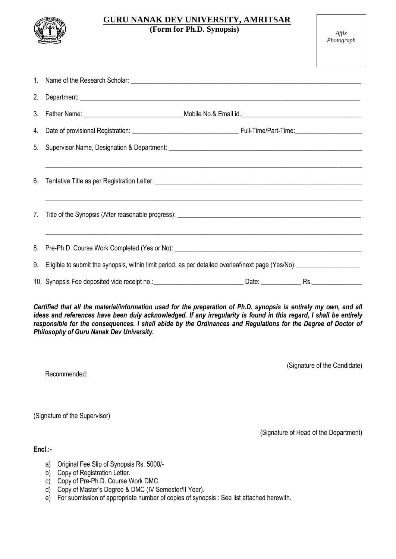

# **GURU NANAK DEV UNIVERSITY, AMRITSAR**

 **(Form for Ph.D. Synopsis)** *Affix* 

| 2.                                                                                                                                                                                                                                                                                                                                                                                                    |                                                                                                       |  |                                       |  |
|-------------------------------------------------------------------------------------------------------------------------------------------------------------------------------------------------------------------------------------------------------------------------------------------------------------------------------------------------------------------------------------------------------|-------------------------------------------------------------------------------------------------------|--|---------------------------------------|--|
| 3.                                                                                                                                                                                                                                                                                                                                                                                                    |                                                                                                       |  |                                       |  |
| 4.                                                                                                                                                                                                                                                                                                                                                                                                    |                                                                                                       |  |                                       |  |
| 5.                                                                                                                                                                                                                                                                                                                                                                                                    |                                                                                                       |  |                                       |  |
| 6.                                                                                                                                                                                                                                                                                                                                                                                                    | ,我们也不能在这里的时候,我们也不能在这里的时候,我们也不能在这里的时候,我们也不能会在这里的时候,我们也不能会在这里的时候,我们也不能会在这里的时候,我们也不能                     |  |                                       |  |
| $7_{\cdot}$                                                                                                                                                                                                                                                                                                                                                                                           |                                                                                                       |  |                                       |  |
|                                                                                                                                                                                                                                                                                                                                                                                                       |                                                                                                       |  |                                       |  |
|                                                                                                                                                                                                                                                                                                                                                                                                       | 9. Eligible to submit the synopsis, within limit period, as per detailed overleaf/next page (Yes/No): |  |                                       |  |
|                                                                                                                                                                                                                                                                                                                                                                                                       |                                                                                                       |  |                                       |  |
| Certified that all the material/information used for the preparation of Ph.D. synopsis is entirely my own, and all<br>ideas and references have been duly acknowledged. If any irregularity is found in this regard, I shall be entirely<br>responsible for the consequences. I shall abide by the Ordinances and Regulations for the Degree of Doctor of<br>Philosophy of Guru Nanak Dev University. |                                                                                                       |  |                                       |  |
|                                                                                                                                                                                                                                                                                                                                                                                                       | Recommended:                                                                                          |  | (Signature of the Candidate)          |  |
|                                                                                                                                                                                                                                                                                                                                                                                                       | (Signature of the Supervisor)                                                                         |  |                                       |  |
|                                                                                                                                                                                                                                                                                                                                                                                                       |                                                                                                       |  | (Signature of Head of the Department) |  |

**Encl.:-**

- a) Original Fee Slip of Synopsis Rs. 5000/-
- b) Copy of Registration Letter.
- c) Copy of Pre-Ph.D. Course Work DMC.
- d) Copy of Master's Degree & DMC (IV Semester/II Year).
- e) For submission of appropriate number of copies of synopsis : See list attached herewith.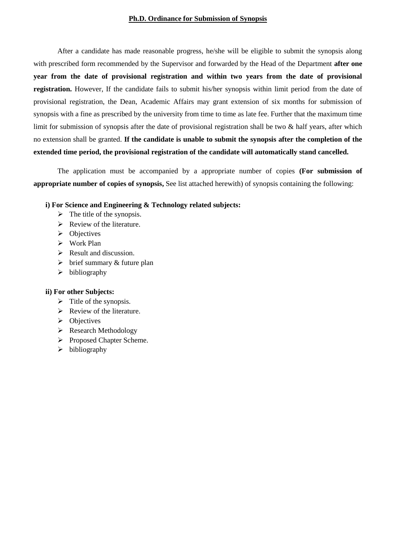### **Ph.D. Ordinance for Submission of Synopsis**

After a candidate has made reasonable progress, he/she will be eligible to submit the synopsis along with prescribed form recommended by the Supervisor and forwarded by the Head of the Department **after one year from the date of provisional registration and within two years from the date of provisional registration.** However, If the candidate fails to submit his/her synopsis within limit period from the date of provisional registration, the Dean, Academic Affairs may grant extension of six months for submission of synopsis with a fine as prescribed by the university from time to time as late fee. Further that the maximum time limit for submission of synopsis after the date of provisional registration shall be two & half years, after which no extension shall be granted. **If the candidate is unable to submit the synopsis after the completion of the extended time period, the provisional registration of the candidate will automatically stand cancelled.**

The application must be accompanied by a appropriate number of copies **(For submission of appropriate number of copies of synopsis,** See list attached herewith) of synopsis containing the following:

#### **i) For Science and Engineering & Technology related subjects:**

- $\triangleright$  The title of the synopsis.
- $\triangleright$  Review of the literature.
- $\triangleright$  Objectives
- Work Plan
- $\triangleright$  Result and discussion.
- $\triangleright$  brief summary & future plan
- $\triangleright$  bibliography

#### **ii) For other Subjects:**

- $\triangleright$  Title of the synopsis.
- $\triangleright$  Review of the literature.
- $\triangleright$  Objectives
- $\triangleright$  Research Methodology
- Proposed Chapter Scheme.
- $\triangleright$  bibliography